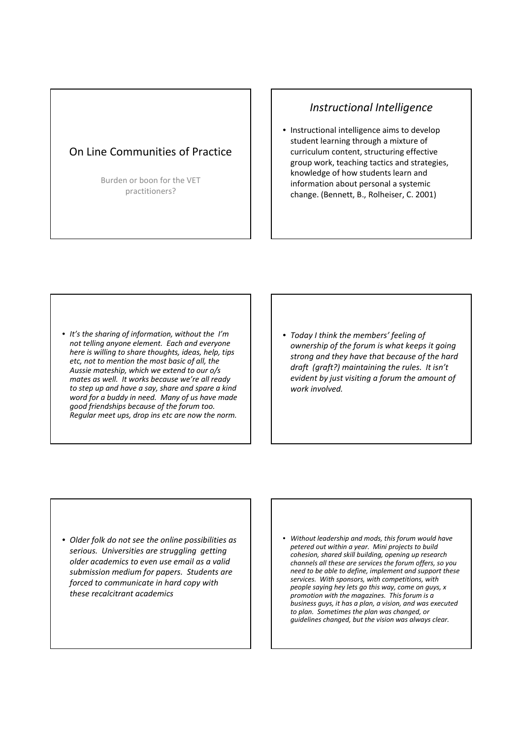## On Line Communities of Practice

Burden or boon for the VET practitioners?

## Instructional Intelligence

• Instructional intelligence aims to develop student learning through a mixture of curriculum content, structuring effective group work, teaching tactics and strategies, knowledge of how students learn and information about personal a systemic change. (Bennett, B., Rolheiser, C. 2001)

• It's the sharing of information, without the I'm not telling anyone element. Each and everyone here is willing to share thoughts, ideas, help, tips etc, not to mention the most basic of all, the Aussie mateship, which we extend to our o/s mates as well. It works because we're all ready to step up and have a say, share and spare a kind word for a buddy in need. Many of us have made good friendships because of the forum too. Regular meet ups, drop ins etc are now the norm.

• Today I think the members' feeling of ownership of the forum is what keeps it going strong and they have that because of the hard draft (graft?) maintaining the rules. It isn't evident by just visiting a forum the amount of work involved.

- Older folk do not see the online possibilities as serious. Universities are struggling getting older academics to even use email as a valid submission medium for papers. Students are forced to communicate in hard copy with these recalcitrant academics
- Without leadership and mods, this forum would have petered out within a year. Mini projects to build cohesion, shared skill building, opening up research channels all these are services the forum offers, so you need to be able to define, implement and support these services. With sponsors, with competitions, with people saying hey lets go this way, come on guys, x promotion with the magazines. This forum is a business guys, it has a plan, a vision, and was executed to plan. Sometimes the plan was changed, or guidelines changed, but the vision was always clear.